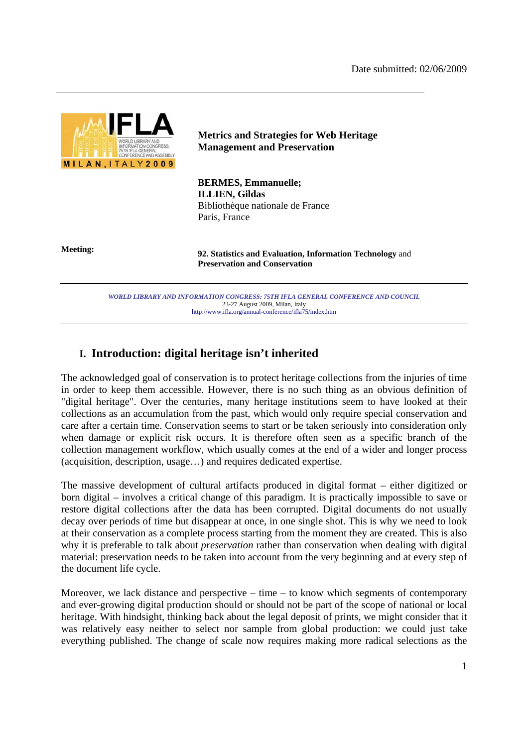

## **Metrics and Strategies for Web Heritage Management and Preservation**

**BERMES, Emmanuelle; ILLIEN, Gildas**  Bibliothèque nationale de France Paris, France

**Meeting: 92. Statistics and Evaluation, Information Technology** and **Preservation and Conservation**

> *WORLD LIBRARY AND INFORMATION CONGRESS: 75TH IFLA GENERAL CONFERENCE AND COUNCIL*  23-27 August 2009, Milan, Italy http://www.ifla.org/annual-conference/ifla75/index.htm

# **I. Introduction: digital heritage isn't inherited**

The acknowledged goal of conservation is to protect heritage collections from the injuries of time in order to keep them accessible. However, there is no such thing as an obvious definition of "digital heritage". Over the centuries, many heritage institutions seem to have looked at their collections as an accumulation from the past, which would only require special conservation and care after a certain time. Conservation seems to start or be taken seriously into consideration only when damage or explicit risk occurs. It is therefore often seen as a specific branch of the collection management workflow, which usually comes at the end of a wider and longer process (acquisition, description, usage…) and requires dedicated expertise.

The massive development of cultural artifacts produced in digital format – either digitized or born digital – involves a critical change of this paradigm. It is practically impossible to save or restore digital collections after the data has been corrupted. Digital documents do not usually decay over periods of time but disappear at once, in one single shot. This is why we need to look at their conservation as a complete process starting from the moment they are created. This is also why it is preferable to talk about *preservation* rather than conservation when dealing with digital material: preservation needs to be taken into account from the very beginning and at every step of the document life cycle.

Moreover, we lack distance and perspective – time – to know which segments of contemporary and ever-growing digital production should or should not be part of the scope of national or local heritage. With hindsight, thinking back about the legal deposit of prints, we might consider that it was relatively easy neither to select nor sample from global production: we could just take everything published. The change of scale now requires making more radical selections as the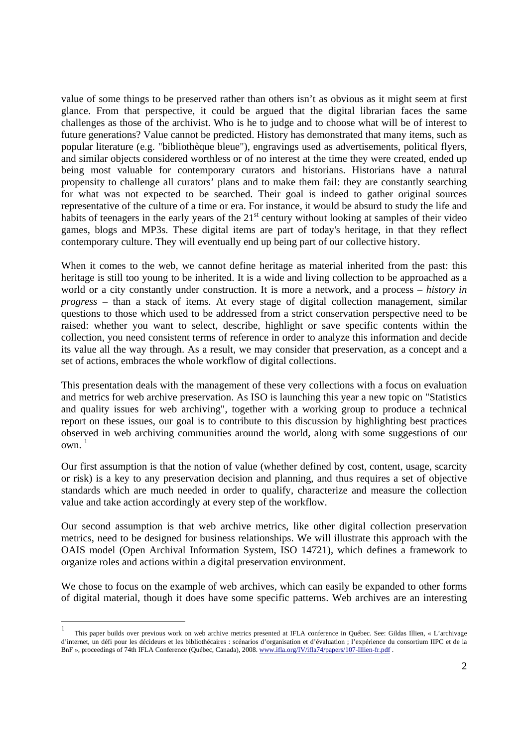value of some things to be preserved rather than others isn't as obvious as it might seem at first glance. From that perspective, it could be argued that the digital librarian faces the same challenges as those of the archivist. Who is he to judge and to choose what will be of interest to future generations? Value cannot be predicted. History has demonstrated that many items, such as popular literature (e.g. "bibliothèque bleue"), engravings used as advertisements, political flyers, and similar objects considered worthless or of no interest at the time they were created, ended up being most valuable for contemporary curators and historians. Historians have a natural propensity to challenge all curators' plans and to make them fail: they are constantly searching for what was not expected to be searched. Their goal is indeed to gather original sources representative of the culture of a time or era. For instance, it would be absurd to study the life and habits of teenagers in the early years of the  $21<sup>st</sup>$  century without looking at samples of their video games, blogs and MP3s. These digital items are part of today's heritage, in that they reflect contemporary culture. They will eventually end up being part of our collective history.

When it comes to the web, we cannot define heritage as material inherited from the past: this heritage is still too young to be inherited. It is a wide and living collection to be approached as a world or a city constantly under construction. It is more a network, and a process – *history in progress* – than a stack of items. At every stage of digital collection management, similar questions to those which used to be addressed from a strict conservation perspective need to be raised: whether you want to select, describe, highlight or save specific contents within the collection, you need consistent terms of reference in order to analyze this information and decide its value all the way through. As a result, we may consider that preservation, as a concept and a set of actions, embraces the whole workflow of digital collections.

This presentation deals with the management of these very collections with a focus on evaluation and metrics for web archive preservation. As ISO is launching this year a new topic on "Statistics and quality issues for web archiving", together with a working group to produce a technical report on these issues, our goal is to contribute to this discussion by highlighting best practices observed in web archiving communities around the world, along with some suggestions of our own. 1

Our first assumption is that the notion of value (whether defined by cost, content, usage, scarcity or risk) is a key to any preservation decision and planning, and thus requires a set of objective standards which are much needed in order to qualify, characterize and measure the collection value and take action accordingly at every step of the workflow.

Our second assumption is that web archive metrics, like other digital collection preservation metrics, need to be designed for business relationships. We will illustrate this approach with the OAIS model (Open Archival Information System, ISO 14721), which defines a framework to organize roles and actions within a digital preservation environment.

We chose to focus on the example of web archives, which can easily be expanded to other forms of digital material, though it does have some specific patterns. Web archives are an interesting

 $\frac{1}{1}$  This paper builds over previous work on web archive metrics presented at IFLA conference in Québec. See: Gildas Illien, « L'archivage d'internet, un défi pour les décideurs et les bibliothécaires : scénarios d'organisation et d'évaluation ; l'expérience du consortium IIPC et de la BnF », proceedings of 74th IFLA Conference (Québec, Canada), 2008. www.ifla.org/IV/ifla74/papers/107-Illien-fr.pdf .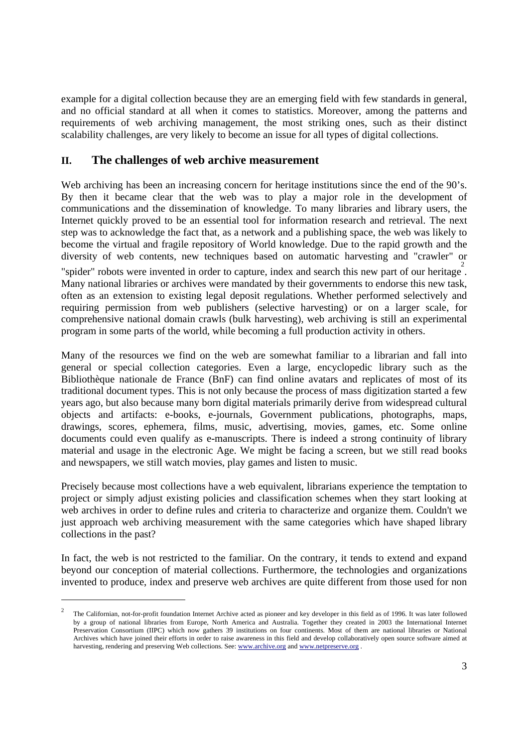example for a digital collection because they are an emerging field with few standards in general, and no official standard at all when it comes to statistics. Moreover, among the patterns and requirements of web archiving management, the most striking ones, such as their distinct scalability challenges, are very likely to become an issue for all types of digital collections.

## **II. The challenges of web archive measurement**

Web archiving has been an increasing concern for heritage institutions since the end of the 90's. By then it became clear that the web was to play a major role in the development of communications and the dissemination of knowledge. To many libraries and library users, the Internet quickly proved to be an essential tool for information research and retrieval. The next step was to acknowledge the fact that, as a network and a publishing space, the web was likely to become the virtual and fragile repository of World knowledge. Due to the rapid growth and the diversity of web contents, new techniques based on automatic harvesting and "crawler" or "spider" robots were invented in order to capture, index and search this new part of our heritage. Many national libraries or archives were mandated by their governments to endorse this new task, often as an extension to existing legal deposit regulations. Whether performed selectively and

requiring permission from web publishers (selective harvesting) or on a larger scale, for comprehensive national domain crawls (bulk harvesting), web archiving is still an experimental program in some parts of the world, while becoming a full production activity in others.

Many of the resources we find on the web are somewhat familiar to a librarian and fall into general or special collection categories. Even a large, encyclopedic library such as the Bibliothèque nationale de France (BnF) can find online avatars and replicates of most of its traditional document types. This is not only because the process of mass digitization started a few years ago, but also because many born digital materials primarily derive from widespread cultural objects and artifacts: e-books, e-journals, Government publications, photographs, maps, drawings, scores, ephemera, films, music, advertising, movies, games, etc. Some online documents could even qualify as e-manuscripts. There is indeed a strong continuity of library material and usage in the electronic Age. We might be facing a screen, but we still read books and newspapers, we still watch movies, play games and listen to music.

Precisely because most collections have a web equivalent, librarians experience the temptation to project or simply adjust existing policies and classification schemes when they start looking at web archives in order to define rules and criteria to characterize and organize them. Couldn't we just approach web archiving measurement with the same categories which have shaped library collections in the past?

In fact, the web is not restricted to the familiar. On the contrary, it tends to extend and expand beyond our conception of material collections. Furthermore, the technologies and organizations invented to produce, index and preserve web archives are quite different from those used for non

-

<sup>2</sup> The Californian, not-for-profit foundation Internet Archive acted as pioneer and key developer in this field as of 1996. It was later followed by a group of national libraries from Europe, North America and Australia. Together they created in 2003 the International Internet Preservation Consortium (IIPC) which now gathers 39 institutions on four continents. Most of them are national libraries or National Archives which have joined their efforts in order to raise awareness in this field and develop collaboratively open source software aimed at harvesting, rendering and preserving Web collections. See: www.archive.org and www.netpreserve.org.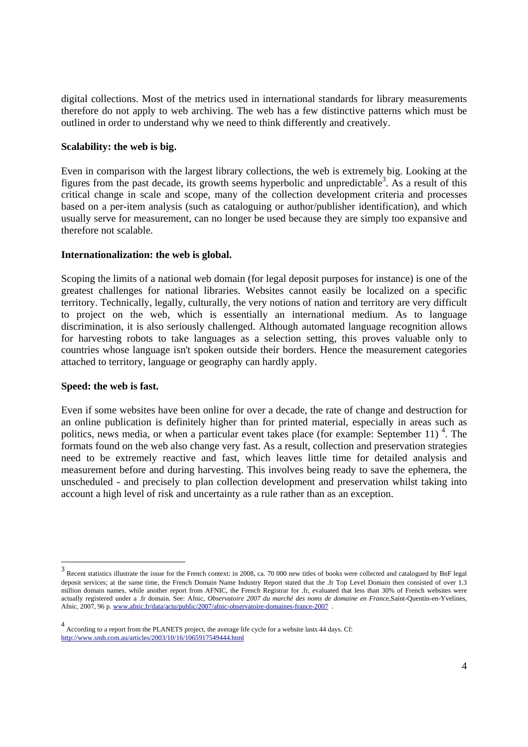digital collections. Most of the metrics used in international standards for library measurements therefore do not apply to web archiving. The web has a few distinctive patterns which must be outlined in order to understand why we need to think differently and creatively.

#### **Scalability: the web is big.**

Even in comparison with the largest library collections, the web is extremely big. Looking at the figures from the past decade, its growth seems hyperbolic and unpredictable<sup>3</sup>. As a result of this critical change in scale and scope, many of the collection development criteria and processes based on a per-item analysis (such as cataloguing or author/publisher identification), and which usually serve for measurement, can no longer be used because they are simply too expansive and therefore not scalable.

#### **Internationalization: the web is global.**

Scoping the limits of a national web domain (for legal deposit purposes for instance) is one of the greatest challenges for national libraries. Websites cannot easily be localized on a specific territory. Technically, legally, culturally, the very notions of nation and territory are very difficult to project on the web, which is essentially an international medium. As to language discrimination, it is also seriously challenged. Although automated language recognition allows for harvesting robots to take languages as a selection setting, this proves valuable only to countries whose language isn't spoken outside their borders. Hence the measurement categories attached to territory, language or geography can hardly apply.

#### **Speed: the web is fast.**

-

Even if some websites have been online for over a decade, the rate of change and destruction for an online publication is definitely higher than for printed material, especially in areas such as politics, news media, or when a particular event takes place (for example: September 11)<sup>4</sup>. The formats found on the web also change very fast. As a result, collection and preservation strategies need to be extremely reactive and fast, which leaves little time for detailed analysis and measurement before and during harvesting. This involves being ready to save the ephemera, the unscheduled - and precisely to plan collection development and preservation whilst taking into account a high level of risk and uncertainty as a rule rather than as an exception.

<sup>3</sup> Recent statistics illustrate the issue for the French context: in 2008, ca. 70 000 new titles of books were collected and catalogued by BnF legal deposit services; at the same time, the French Domain Name Industry Report stated that the .fr Top Level Domain then consisted of over 1.3 million domain names, while another report from AFNIC, the French Registrar for .fr, evaluated that less than 30% of French websites were actually registered under a .fr domain. See: Afnic, *Observatoire 2007 du marché des noms de domaine en France*,Saint-Quentin-en-Yvelines, Afnic, 2007, 96 p. www.afnic.fr/data/actu/public/2007/afnic-observatoire-domaines-france-2007 .

<sup>4</sup> According to a report from the PLANETS project, the average life cycle for a website lasts 44 days. Cf: http://www.smh.com.au/articles/2003/10/16/1065917549444.html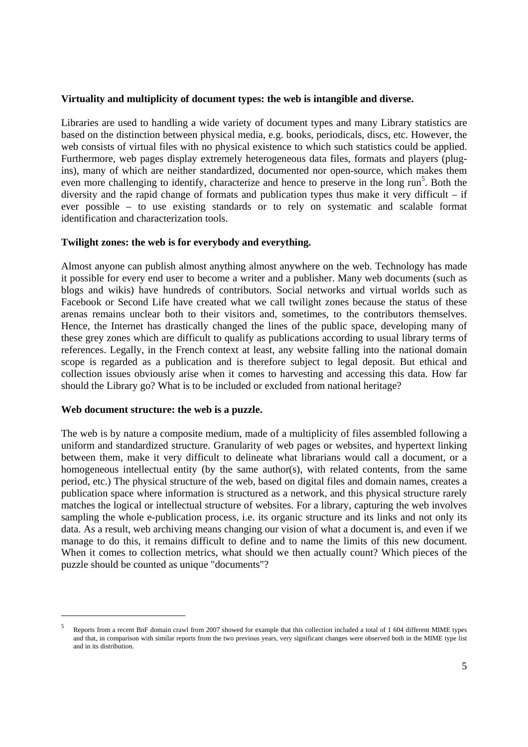#### **Virtuality and multiplicity of document types: the web is intangible and diverse.**

Libraries are used to handling a wide variety of document types and many Library statistics are based on the distinction between physical media, e.g. books, periodicals, discs, etc. However, the web consists of virtual files with no physical existence to which such statistics could be applied. Furthermore, web pages display extremely heterogeneous data files, formats and players (plugins), many of which are neither standardized, documented nor open-source, which makes them even more challenging to identify, characterize and hence to preserve in the long  $run<sup>5</sup>$ . Both the diversity and the rapid change of formats and publication types thus make it very difficult – if ever possible – to use existing standards or to rely on systematic and scalable format identification and characterization tools.

#### **Twilight zones: the web is for everybody and everything.**

Almost anyone can publish almost anything almost anywhere on the web. Technology has made it possible for every end user to become a writer and a publisher. Many web documents (such as blogs and wikis) have hundreds of contributors. Social networks and virtual worlds such as Facebook or Second Life have created what we call twilight zones because the status of these arenas remains unclear both to their visitors and, sometimes, to the contributors themselves. Hence, the Internet has drastically changed the lines of the public space, developing many of these grey zones which are difficult to qualify as publications according to usual library terms of references. Legally, in the French context at least, any website falling into the national domain scope is regarded as a publication and is therefore subject to legal deposit. But ethical and collection issues obviously arise when it comes to harvesting and accessing this data. How far should the Library go? What is to be included or excluded from national heritage?

#### **Web document structure: the web is a puzzle.**

1

The web is by nature a composite medium, made of a multiplicity of files assembled following a uniform and standardized structure. Granularity of web pages or websites, and hypertext linking between them, make it very difficult to delineate what librarians would call a document, or a homogeneous intellectual entity (by the same author(s), with related contents, from the same period, etc.) The physical structure of the web, based on digital files and domain names, creates a publication space where information is structured as a network, and this physical structure rarely matches the logical or intellectual structure of websites. For a library, capturing the web involves sampling the whole e-publication process, i.e. its organic structure and its links and not only its data. As a result, web archiving means changing our vision of what a document is, and even if we manage to do this, it remains difficult to define and to name the limits of this new document. When it comes to collection metrics, what should we then actually count? Which pieces of the puzzle should be counted as unique "documents"?

<sup>5</sup> Reports from a recent BnF domain crawl from 2007 showed for example that this collection included a total of 1 604 different MIME types and that, in comparison with similar reports from the two previous years, very significant changes were observed both in the MIME type list and in its distribution.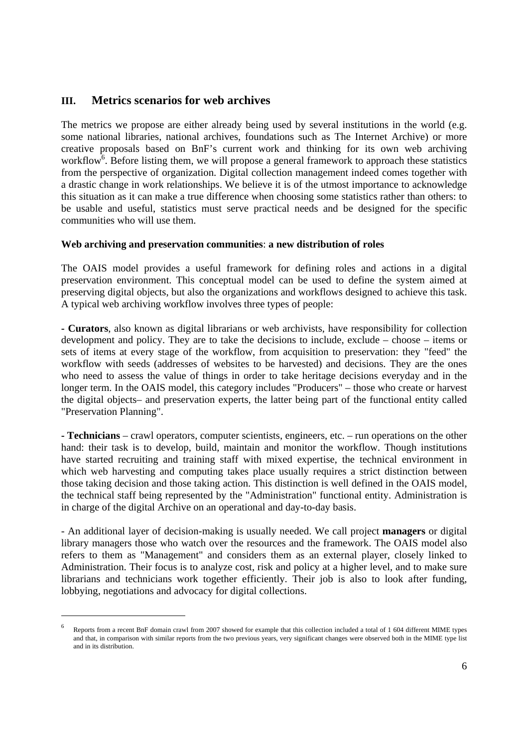## **III. Metrics scenarios for web archives**

1

The metrics we propose are either already being used by several institutions in the world (e.g. some national libraries, national archives, foundations such as The Internet Archive) or more creative proposals based on BnF's current work and thinking for its own web archiving workflow<sup>6</sup>. Before listing them, we will propose a general framework to approach these statistics from the perspective of organization. Digital collection management indeed comes together with a drastic change in work relationships. We believe it is of the utmost importance to acknowledge this situation as it can make a true difference when choosing some statistics rather than others: to be usable and useful, statistics must serve practical needs and be designed for the specific communities who will use them.

## **Web archiving and preservation communities**: **a new distribution of roles**

The OAIS model provides a useful framework for defining roles and actions in a digital preservation environment. This conceptual model can be used to define the system aimed at preserving digital objects, but also the organizations and workflows designed to achieve this task. A typical web archiving workflow involves three types of people:

**- Curators**, also known as digital librarians or web archivists, have responsibility for collection development and policy. They are to take the decisions to include, exclude – choose – items or sets of items at every stage of the workflow, from acquisition to preservation: they "feed" the workflow with seeds (addresses of websites to be harvested) and decisions. They are the ones who need to assess the value of things in order to take heritage decisions everyday and in the longer term. In the OAIS model, this category includes "Producers" – those who create or harvest the digital objects– and preservation experts, the latter being part of the functional entity called "Preservation Planning".

**- Technicians** – crawl operators, computer scientists, engineers, etc. – run operations on the other hand: their task is to develop, build, maintain and monitor the workflow. Though institutions have started recruiting and training staff with mixed expertise, the technical environment in which web harvesting and computing takes place usually requires a strict distinction between those taking decision and those taking action. This distinction is well defined in the OAIS model, the technical staff being represented by the "Administration" functional entity. Administration is in charge of the digital Archive on an operational and day-to-day basis.

- An additional layer of decision-making is usually needed. We call project **managers** or digital library managers those who watch over the resources and the framework. The OAIS model also refers to them as "Management" and considers them as an external player, closely linked to Administration. Their focus is to analyze cost, risk and policy at a higher level, and to make sure librarians and technicians work together efficiently. Their job is also to look after funding, lobbying, negotiations and advocacy for digital collections.

<sup>6</sup> Reports from a recent BnF domain crawl from 2007 showed for example that this collection included a total of 1 604 different MIME types and that, in comparison with similar reports from the two previous years, very significant changes were observed both in the MIME type list and in its distribution.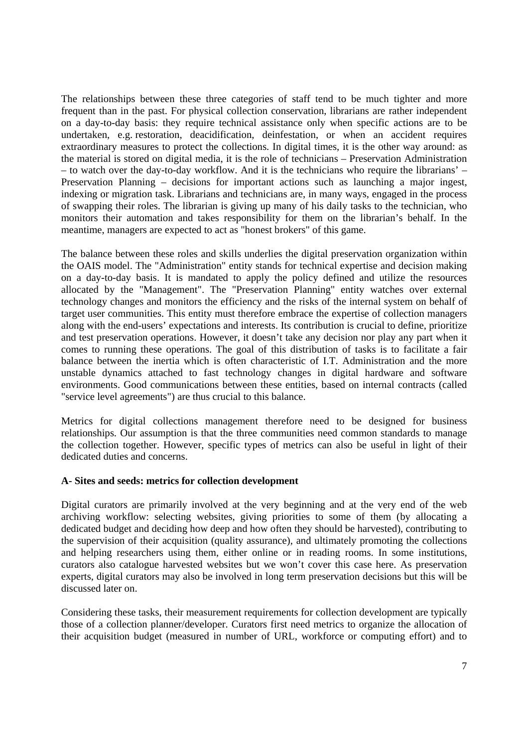The relationships between these three categories of staff tend to be much tighter and more frequent than in the past. For physical collection conservation, librarians are rather independent on a day-to-day basis: they require technical assistance only when specific actions are to be undertaken, e.g. restoration, deacidification, deinfestation, or when an accident requires extraordinary measures to protect the collections. In digital times, it is the other way around: as the material is stored on digital media, it is the role of technicians – Preservation Administration – to watch over the day-to-day workflow. And it is the technicians who require the librarians' – Preservation Planning – decisions for important actions such as launching a major ingest, indexing or migration task. Librarians and technicians are, in many ways, engaged in the process of swapping their roles. The librarian is giving up many of his daily tasks to the technician, who monitors their automation and takes responsibility for them on the librarian's behalf. In the meantime, managers are expected to act as "honest brokers" of this game.

The balance between these roles and skills underlies the digital preservation organization within the OAIS model. The "Administration" entity stands for technical expertise and decision making on a day-to-day basis. It is mandated to apply the policy defined and utilize the resources allocated by the "Management". The "Preservation Planning" entity watches over external technology changes and monitors the efficiency and the risks of the internal system on behalf of target user communities. This entity must therefore embrace the expertise of collection managers along with the end-users' expectations and interests. Its contribution is crucial to define, prioritize and test preservation operations. However, it doesn't take any decision nor play any part when it comes to running these operations. The goal of this distribution of tasks is to facilitate a fair balance between the inertia which is often characteristic of I.T. Administration and the more unstable dynamics attached to fast technology changes in digital hardware and software environments. Good communications between these entities, based on internal contracts (called "service level agreements") are thus crucial to this balance.

Metrics for digital collections management therefore need to be designed for business relationships. Our assumption is that the three communities need common standards to manage the collection together. However, specific types of metrics can also be useful in light of their dedicated duties and concerns.

## **A- Sites and seeds: metrics for collection development**

Digital curators are primarily involved at the very beginning and at the very end of the web archiving workflow: selecting websites, giving priorities to some of them (by allocating a dedicated budget and deciding how deep and how often they should be harvested), contributing to the supervision of their acquisition (quality assurance), and ultimately promoting the collections and helping researchers using them, either online or in reading rooms. In some institutions, curators also catalogue harvested websites but we won't cover this case here. As preservation experts, digital curators may also be involved in long term preservation decisions but this will be discussed later on.

Considering these tasks, their measurement requirements for collection development are typically those of a collection planner/developer. Curators first need metrics to organize the allocation of their acquisition budget (measured in number of URL, workforce or computing effort) and to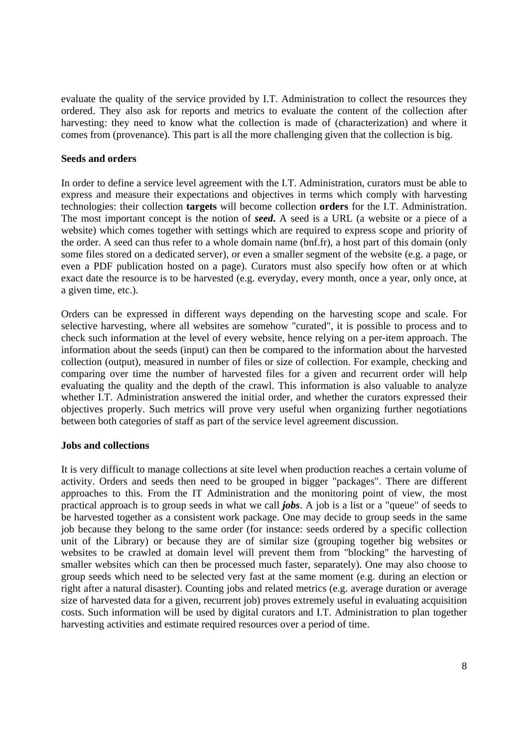evaluate the quality of the service provided by I.T. Administration to collect the resources they ordered. They also ask for reports and metrics to evaluate the content of the collection after harvesting: they need to know what the collection is made of (characterization) and where it comes from (provenance). This part is all the more challenging given that the collection is big.

#### **Seeds and orders**

In order to define a service level agreement with the I.T. Administration, curators must be able to express and measure their expectations and objectives in terms which comply with harvesting technologies: their collection **targets** will become collection **orders** for the I.T. Administration. The most important concept is the notion of *seed***.** A seed is a URL (a website or a piece of a website) which comes together with settings which are required to express scope and priority of the order. A seed can thus refer to a whole domain name (bnf.fr), a host part of this domain (only some files stored on a dedicated server), or even a smaller segment of the website (e.g. a page, or even a PDF publication hosted on a page). Curators must also specify how often or at which exact date the resource is to be harvested (e.g. everyday, every month, once a year, only once, at a given time, etc.).

Orders can be expressed in different ways depending on the harvesting scope and scale. For selective harvesting, where all websites are somehow "curated", it is possible to process and to check such information at the level of every website, hence relying on a per-item approach. The information about the seeds (input) can then be compared to the information about the harvested collection (output), measured in number of files or size of collection. For example, checking and comparing over time the number of harvested files for a given and recurrent order will help evaluating the quality and the depth of the crawl. This information is also valuable to analyze whether I.T. Administration answered the initial order, and whether the curators expressed their objectives properly. Such metrics will prove very useful when organizing further negotiations between both categories of staff as part of the service level agreement discussion.

#### **Jobs and collections**

It is very difficult to manage collections at site level when production reaches a certain volume of activity. Orders and seeds then need to be grouped in bigger "packages". There are different approaches to this. From the IT Administration and the monitoring point of view, the most practical approach is to group seeds in what we call *jobs*. A job is a list or a "queue" of seeds to be harvested together as a consistent work package. One may decide to group seeds in the same job because they belong to the same order (for instance: seeds ordered by a specific collection unit of the Library) or because they are of similar size (grouping together big websites or websites to be crawled at domain level will prevent them from "blocking" the harvesting of smaller websites which can then be processed much faster, separately). One may also choose to group seeds which need to be selected very fast at the same moment (e.g. during an election or right after a natural disaster). Counting jobs and related metrics (e.g. average duration or average size of harvested data for a given, recurrent job) proves extremely useful in evaluating acquisition costs. Such information will be used by digital curators and I.T. Administration to plan together harvesting activities and estimate required resources over a period of time.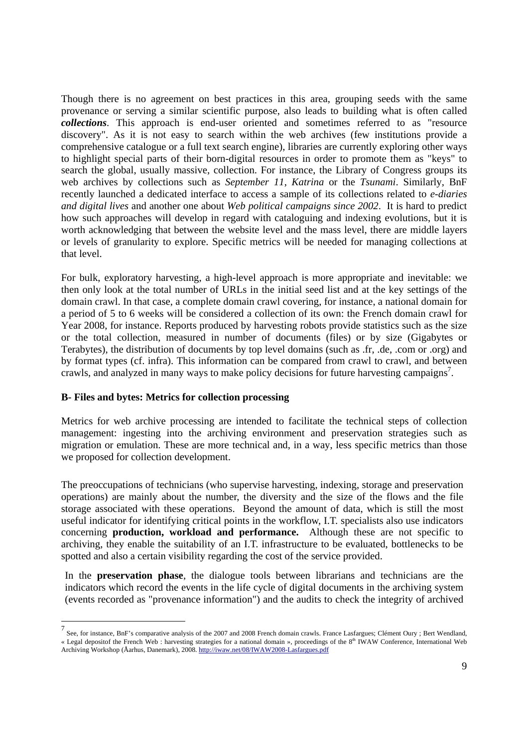Though there is no agreement on best practices in this area, grouping seeds with the same provenance or serving a similar scientific purpose, also leads to building what is often called *collections*. This approach is end-user oriented and sometimes referred to as "resource discovery". As it is not easy to search within the web archives (few institutions provide a comprehensive catalogue or a full text search engine), libraries are currently exploring other ways to highlight special parts of their born-digital resources in order to promote them as "keys" to search the global, usually massive, collection. For instance, the Library of Congress groups its web archives by collections such as *September 11*, *Katrina* or the *Tsunami*. Similarly, BnF recently launched a dedicated interface to access a sample of its collections related to *e-diaries and digital lives* and another one about *Web political campaigns since 2002*. It is hard to predict how such approaches will develop in regard with cataloguing and indexing evolutions, but it is worth acknowledging that between the website level and the mass level, there are middle layers or levels of granularity to explore. Specific metrics will be needed for managing collections at that level.

For bulk, exploratory harvesting, a high-level approach is more appropriate and inevitable: we then only look at the total number of URLs in the initial seed list and at the key settings of the domain crawl. In that case, a complete domain crawl covering, for instance, a national domain for a period of 5 to 6 weeks will be considered a collection of its own: the French domain crawl for Year 2008, for instance. Reports produced by harvesting robots provide statistics such as the size or the total collection, measured in number of documents (files) or by size (Gigabytes or Terabytes), the distribution of documents by top level domains (such as .fr, .de, .com or .org) and by format types (cf. infra). This information can be compared from crawl to crawl, and between crawls, and analyzed in many ways to make policy decisions for future harvesting campaigns<sup>7</sup>.

## **B- Files and bytes: Metrics for collection processing**

Metrics for web archive processing are intended to facilitate the technical steps of collection management: ingesting into the archiving environment and preservation strategies such as migration or emulation. These are more technical and, in a way, less specific metrics than those we proposed for collection development.

The preoccupations of technicians (who supervise harvesting, indexing, storage and preservation operations) are mainly about the number, the diversity and the size of the flows and the file storage associated with these operations. Beyond the amount of data, which is still the most useful indicator for identifying critical points in the workflow, I.T. specialists also use indicators concerning **production, workload and performance.** Although these are not specific to archiving, they enable the suitability of an I.T. infrastructure to be evaluated, bottlenecks to be spotted and also a certain visibility regarding the cost of the service provided.

In the **preservation phase**, the dialogue tools between librarians and technicians are the indicators which record the events in the life cycle of digital documents in the archiving system (events recorded as "provenance information") and the audits to check the integrity of archived

<sup>—&</sup>lt;br>7 See, for instance, BnF's comparative analysis of the 2007 and 2008 French domain crawls. France Lasfargues; Clément Oury ; Bert Wendland, « Legal depositof the French Web : harvesting strategies for a national domain », proceedings of the 8<sup>th</sup> IWAW Conference, International Web Archiving Workshop (Åarhus, Danemark), 2008. http://iwaw.net/08/IWAW2008-Lasfargues.pdf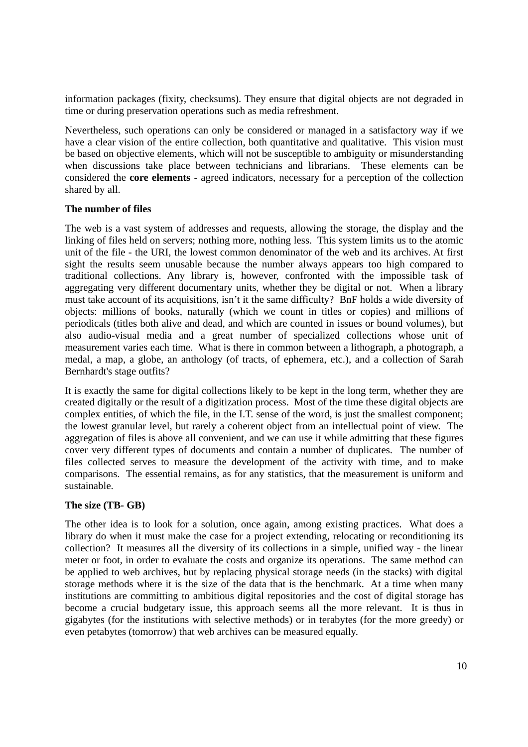information packages (fixity, checksums). They ensure that digital objects are not degraded in time or during preservation operations such as media refreshment.

Nevertheless, such operations can only be considered or managed in a satisfactory way if we have a clear vision of the entire collection, both quantitative and qualitative. This vision must be based on objective elements, which will not be susceptible to ambiguity or misunderstanding when discussions take place between technicians and librarians. These elements can be considered the **core elements** - agreed indicators, necessary for a perception of the collection shared by all.

## **The number of files**

The web is a vast system of addresses and requests, allowing the storage, the display and the linking of files held on servers; nothing more, nothing less. This system limits us to the atomic unit of the file - the URI, the lowest common denominator of the web and its archives. At first sight the results seem unusable because the number always appears too high compared to traditional collections. Any library is, however, confronted with the impossible task of aggregating very different documentary units, whether they be digital or not. When a library must take account of its acquisitions, isn't it the same difficulty? BnF holds a wide diversity of objects: millions of books, naturally (which we count in titles or copies) and millions of periodicals (titles both alive and dead, and which are counted in issues or bound volumes), but also audio-visual media and a great number of specialized collections whose unit of measurement varies each time. What is there in common between a lithograph, a photograph, a medal, a map, a globe, an anthology (of tracts, of ephemera, etc.), and a collection of Sarah Bernhardt's stage outfits?

It is exactly the same for digital collections likely to be kept in the long term, whether they are created digitally or the result of a digitization process. Most of the time these digital objects are complex entities, of which the file, in the I.T. sense of the word, is just the smallest component; the lowest granular level, but rarely a coherent object from an intellectual point of view. The aggregation of files is above all convenient, and we can use it while admitting that these figures cover very different types of documents and contain a number of duplicates. The number of files collected serves to measure the development of the activity with time, and to make comparisons. The essential remains, as for any statistics, that the measurement is uniform and sustainable.

## **The size (TB- GB)**

The other idea is to look for a solution, once again, among existing practices. What does a library do when it must make the case for a project extending, relocating or reconditioning its collection? It measures all the diversity of its collections in a simple, unified way - the linear meter or foot, in order to evaluate the costs and organize its operations. The same method can be applied to web archives, but by replacing physical storage needs (in the stacks) with digital storage methods where it is the size of the data that is the benchmark. At a time when many institutions are committing to ambitious digital repositories and the cost of digital storage has become a crucial budgetary issue, this approach seems all the more relevant. It is thus in gigabytes (for the institutions with selective methods) or in terabytes (for the more greedy) or even petabytes (tomorrow) that web archives can be measured equally.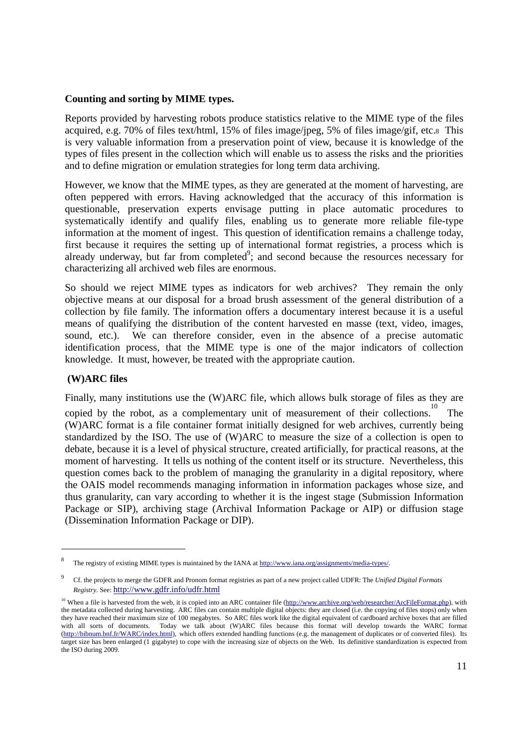#### **Counting and sorting by MIME types.**

Reports provided by harvesting robots produce statistics relative to the MIME type of the files acquired, e.g. 70% of files text/html, 15% of files image/jpeg, 5% of files image/gif, etc.8 This is very valuable information from a preservation point of view, because it is knowledge of the types of files present in the collection which will enable us to assess the risks and the priorities and to define migration or emulation strategies for long term data archiving.

However, we know that the MIME types, as they are generated at the moment of harvesting, are often peppered with errors. Having acknowledged that the accuracy of this information is questionable, preservation experts envisage putting in place automatic procedures to systematically identify and qualify files, enabling us to generate more reliable file-type information at the moment of ingest. This question of identification remains a challenge today, first because it requires the setting up of international format registries, a process which is already underway, but far from completed<sup>9</sup>; and second because the resources necessary for characterizing all archived web files are enormous.

So should we reject MIME types as indicators for web archives? They remain the only objective means at our disposal for a broad brush assessment of the general distribution of a collection by file family. The information offers a documentary interest because it is a useful means of qualifying the distribution of the content harvested en masse (text, video, images, sound, etc.). We can therefore consider, even in the absence of a precise automatic identification process, that the MIME type is one of the major indicators of collection knowledge. It must, however, be treated with the appropriate caution.

#### **(W)ARC files**

-

Finally, many institutions use the (W)ARC file, which allows bulk storage of files as they are copied by the robot, as a complementary unit of measurement of their collections. The (W)ARC format is a file container format initially designed for web archives, currently being standardized by the ISO. The use of (W)ARC to measure the size of a collection is open to debate, because it is a level of physical structure, created artificially, for practical reasons, at the moment of harvesting. It tells us nothing of the content itself or its structure. Nevertheless, this question comes back to the problem of managing the granularity in a digital repository, where the OAIS model recommends managing information in information packages whose size, and thus granularity, can vary according to whether it is the ingest stage (Submission Information Package or SIP), archiving stage (Archival Information Package or AIP) or diffusion stage (Dissemination Information Package or DIP).

<sup>8</sup> The registry of existing MIME types is maintained by the IANA at http://www.iana.org/assignments/media-types/.

<sup>9</sup> Cf. the projects to merge the GDFR and Pronom format registries as part of a new project called UDFR: The *Unified Digital Formats Registry*. See: http://www.gdfr.info/udfr.html

<sup>&</sup>lt;sup>10</sup> When a file is harvested from the web, it is copied into an ARC container file (http://www.archive.org/web/researcher/ArcFileFormat.php), with the metadata collected during harvesting. ARC files can contain multiple digital objects: they are closed (i.e. the copying of files stops) only when they have reached their maximum size of 100 megabytes. So ARC files work like the digital equivalent of cardboard archive boxes that are filled with all sorts of documents. Today we talk about (W)ARC files because this format will develop towards the WARC format (http://bibnum.bnf.fr/WARC/index.html), which offers extended handling functions (e.g. the management of duplicates or of converted files). Its target size has been enlarged (1 gigabyte) to cope with the increasing size of objects on the Web. Its definitive standardization is expected from the ISO during 2009.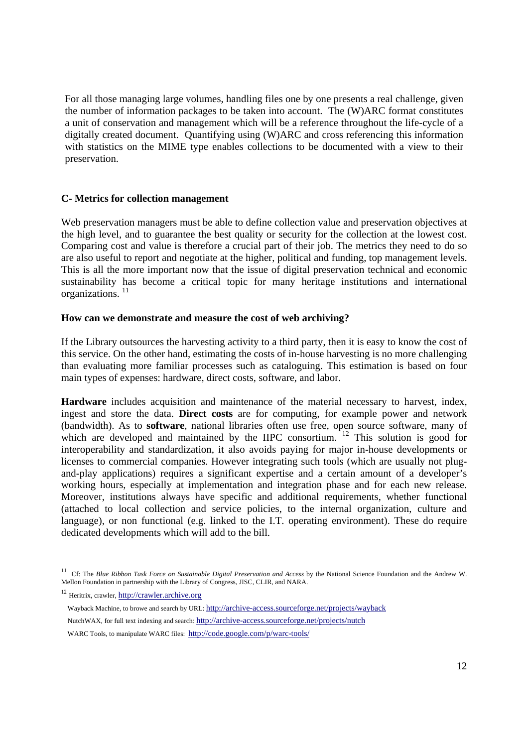For all those managing large volumes, handling files one by one presents a real challenge, given the number of information packages to be taken into account. The (W)ARC format constitutes a unit of conservation and management which will be a reference throughout the life-cycle of a digitally created document. Quantifying using (W)ARC and cross referencing this information with statistics on the MIME type enables collections to be documented with a view to their preservation.

#### **C- Metrics for collection management**

Web preservation managers must be able to define collection value and preservation objectives at the high level, and to guarantee the best quality or security for the collection at the lowest cost. Comparing cost and value is therefore a crucial part of their job. The metrics they need to do so are also useful to report and negotiate at the higher, political and funding, top management levels. This is all the more important now that the issue of digital preservation technical and economic sustainability has become a critical topic for many heritage institutions and international organizations. 11

#### **How can we demonstrate and measure the cost of web archiving?**

If the Library outsources the harvesting activity to a third party, then it is easy to know the cost of this service. On the other hand, estimating the costs of in-house harvesting is no more challenging than evaluating more familiar processes such as cataloguing. This estimation is based on four main types of expenses: hardware, direct costs, software, and labor.

**Hardware** includes acquisition and maintenance of the material necessary to harvest, index, ingest and store the data. **Direct costs** are for computing, for example power and network (bandwidth). As to **software**, national libraries often use free, open source software, many of which are developed and maintained by the IIPC consortium.  $12$  This solution is good for interoperability and standardization, it also avoids paying for major in-house developments or licenses to commercial companies. However integrating such tools (which are usually not plugand-play applications) requires a significant expertise and a certain amount of a developer's working hours, especially at implementation and integration phase and for each new release. Moreover, institutions always have specific and additional requirements, whether functional (attached to local collection and service policies, to the internal organization, culture and language), or non functional (e.g. linked to the I.T. operating environment). These do require dedicated developments which will add to the bill.

 $\overline{a}$ 

<sup>11</sup> Cf: The *Blue Ribbon Task Force on Sustainable Digital Preservation and Access* by the National Science Foundation and the Andrew W. Mellon Foundation in partnership with the Library of Congress, JISC, CLIR, and NARA.

<sup>&</sup>lt;sup>12</sup> Heritrix, crawler, http://crawler.archive.org

Wayback Machine, to browe and search by URL: http://archive-access.sourceforge.net/projects/wayback

NutchWAX, for full text indexing and search: http://archive-access.sourceforge.net/projects/nutch

WARC Tools, to manipulate WARC files: http://code.google.com/p/warc-tools/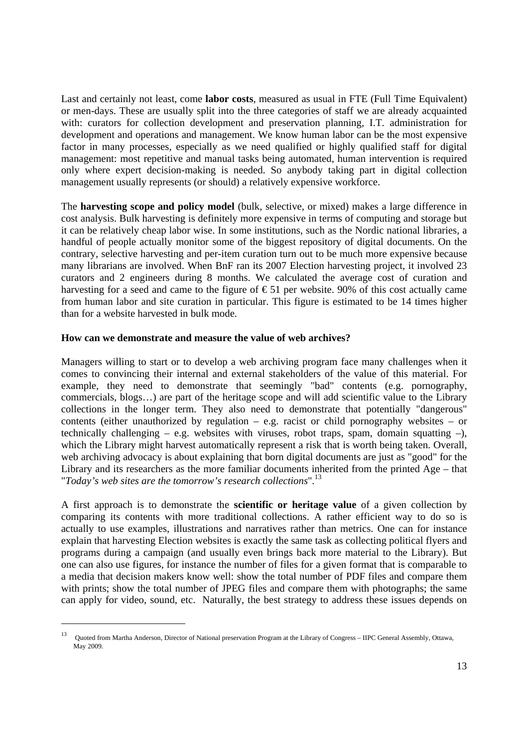Last and certainly not least, come **labor costs**, measured as usual in FTE (Full Time Equivalent) or men-days. These are usually split into the three categories of staff we are already acquainted with: curators for collection development and preservation planning, I.T. administration for development and operations and management. We know human labor can be the most expensive factor in many processes, especially as we need qualified or highly qualified staff for digital management: most repetitive and manual tasks being automated, human intervention is required only where expert decision-making is needed. So anybody taking part in digital collection management usually represents (or should) a relatively expensive workforce.

The **harvesting scope and policy model** (bulk, selective, or mixed) makes a large difference in cost analysis. Bulk harvesting is definitely more expensive in terms of computing and storage but it can be relatively cheap labor wise. In some institutions, such as the Nordic national libraries, a handful of people actually monitor some of the biggest repository of digital documents. On the contrary, selective harvesting and per-item curation turn out to be much more expensive because many librarians are involved. When BnF ran its 2007 Election harvesting project, it involved 23 curators and 2 engineers during 8 months. We calculated the average cost of curation and harvesting for a seed and came to the figure of  $\epsilon$ 51 per website. 90% of this cost actually came from human labor and site curation in particular. This figure is estimated to be 14 times higher than for a website harvested in bulk mode.

#### **How can we demonstrate and measure the value of web archives?**

Managers willing to start or to develop a web archiving program face many challenges when it comes to convincing their internal and external stakeholders of the value of this material. For example, they need to demonstrate that seemingly "bad" contents (e.g. pornography, commercials, blogs…) are part of the heritage scope and will add scientific value to the Library collections in the longer term. They also need to demonstrate that potentially "dangerous" contents (either unauthorized by regulation – e.g. racist or child pornography websites – or technically challenging – e.g. websites with viruses, robot traps, spam, domain squatting –). which the Library might harvest automatically represent a risk that is worth being taken. Overall, web archiving advocacy is about explaining that born digital documents are just as "good" for the Library and its researchers as the more familiar documents inherited from the printed Age – that "*Today's web sites are the tomorrow's research collections*".<sup>13</sup>

A first approach is to demonstrate the **scientific or heritage value** of a given collection by comparing its contents with more traditional collections. A rather efficient way to do so is actually to use examples, illustrations and narratives rather than metrics. One can for instance explain that harvesting Election websites is exactly the same task as collecting political flyers and programs during a campaign (and usually even brings back more material to the Library). But one can also use figures, for instance the number of files for a given format that is comparable to a media that decision makers know well: show the total number of PDF files and compare them with prints; show the total number of JPEG files and compare them with photographs; the same can apply for video, sound, etc. Naturally, the best strategy to address these issues depends on

 $\overline{a}$ 

<sup>13</sup> Quoted from Martha Anderson, Director of National preservation Program at the Library of Congress – IIPC General Assembly, Ottawa, May 2009.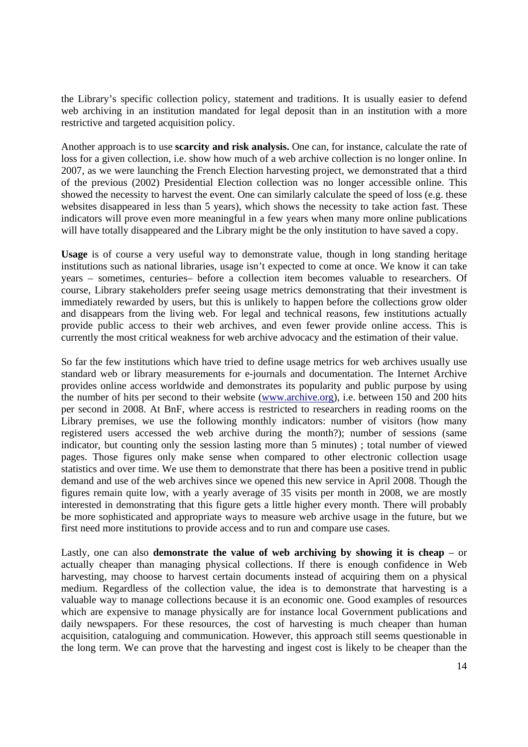the Library's specific collection policy, statement and traditions. It is usually easier to defend web archiving in an institution mandated for legal deposit than in an institution with a more restrictive and targeted acquisition policy.

Another approach is to use **scarcity and risk analysis.** One can, for instance, calculate the rate of loss for a given collection, i.e. show how much of a web archive collection is no longer online. In 2007, as we were launching the French Election harvesting project, we demonstrated that a third of the previous (2002) Presidential Election collection was no longer accessible online. This showed the necessity to harvest the event. One can similarly calculate the speed of loss (e.g. these websites disappeared in less than 5 years), which shows the necessity to take action fast. These indicators will prove even more meaningful in a few years when many more online publications will have totally disappeared and the Library might be the only institution to have saved a copy.

**Usage** is of course a very useful way to demonstrate value, though in long standing heritage institutions such as national libraries, usage isn't expected to come at once. We know it can take years – sometimes, centuries– before a collection item becomes valuable to researchers. Of course, Library stakeholders prefer seeing usage metrics demonstrating that their investment is immediately rewarded by users, but this is unlikely to happen before the collections grow older and disappears from the living web. For legal and technical reasons, few institutions actually provide public access to their web archives, and even fewer provide online access. This is currently the most critical weakness for web archive advocacy and the estimation of their value.

So far the few institutions which have tried to define usage metrics for web archives usually use standard web or library measurements for e-journals and documentation. The Internet Archive provides online access worldwide and demonstrates its popularity and public purpose by using the number of hits per second to their website (www.archive.org), i.e. between 150 and 200 hits per second in 2008. At BnF, where access is restricted to researchers in reading rooms on the Library premises, we use the following monthly indicators: number of visitors (how many registered users accessed the web archive during the month?); number of sessions (same indicator, but counting only the session lasting more than 5 minutes) ; total number of viewed pages. Those figures only make sense when compared to other electronic collection usage statistics and over time. We use them to demonstrate that there has been a positive trend in public demand and use of the web archives since we opened this new service in April 2008. Though the figures remain quite low, with a yearly average of 35 visits per month in 2008, we are mostly interested in demonstrating that this figure gets a little higher every month. There will probably be more sophisticated and appropriate ways to measure web archive usage in the future, but we first need more institutions to provide access and to run and compare use cases.

Lastly, one can also **demonstrate the value of web archiving by showing it is cheap** – or actually cheaper than managing physical collections. If there is enough confidence in Web harvesting, may choose to harvest certain documents instead of acquiring them on a physical medium. Regardless of the collection value, the idea is to demonstrate that harvesting is a valuable way to manage collections because it is an economic one. Good examples of resources which are expensive to manage physically are for instance local Government publications and daily newspapers. For these resources, the cost of harvesting is much cheaper than human acquisition, cataloguing and communication. However, this approach still seems questionable in the long term. We can prove that the harvesting and ingest cost is likely to be cheaper than the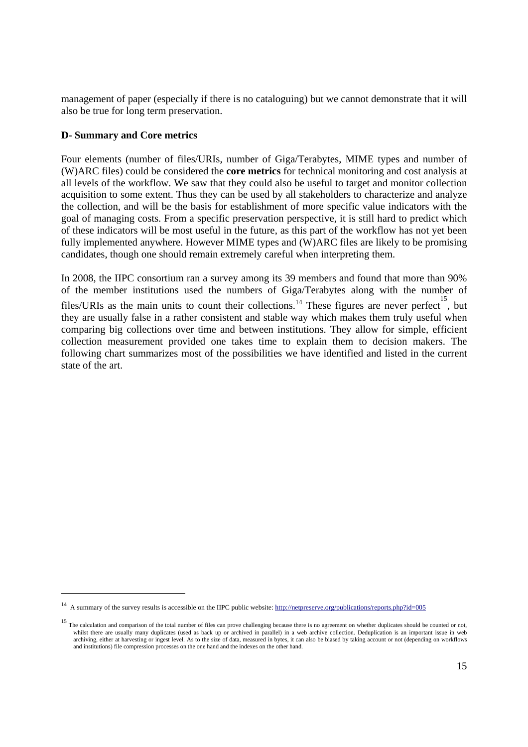management of paper (especially if there is no cataloguing) but we cannot demonstrate that it will also be true for long term preservation.

## **D- Summary and Core metrics**

 $\overline{a}$ 

Four elements (number of files/URIs, number of Giga/Terabytes, MIME types and number of (W)ARC files) could be considered the **core metrics** for technical monitoring and cost analysis at all levels of the workflow. We saw that they could also be useful to target and monitor collection acquisition to some extent. Thus they can be used by all stakeholders to characterize and analyze the collection, and will be the basis for establishment of more specific value indicators with the goal of managing costs. From a specific preservation perspective, it is still hard to predict which of these indicators will be most useful in the future, as this part of the workflow has not yet been fully implemented anywhere. However MIME types and (W)ARC files are likely to be promising candidates, though one should remain extremely careful when interpreting them.

In 2008, the IIPC consortium ran a survey among its 39 members and found that more than 90% of the member institutions used the numbers of Giga/Terabytes along with the number of files/URIs as the main units to count their collections.<sup>14</sup> These figures are never perfect, but they are usually false in a rather consistent and stable way which makes them truly useful when comparing big collections over time and between institutions. They allow for simple, efficient collection measurement provided one takes time to explain them to decision makers. The following chart summarizes most of the possibilities we have identified and listed in the current state of the art.

 $14$  A summary of the survey results is accessible on the IIPC public website: http://netpreserve.org/publications/reports.php?id=005

<sup>&</sup>lt;sup>15</sup> The calculation and comparison of the total number of files can prove challenging because there is no agreement on whether duplicates should be counted or not, whilst there are usually many duplicates (used as back up or archived in parallel) in a web archive collection. Deduplication is an important issue in web archiving, either at harvesting or ingest level. As to the size of data, measured in bytes, it can also be biased by taking account or not (depending on workflows and institutions) file compression processes on the one hand and the indexes on the other hand.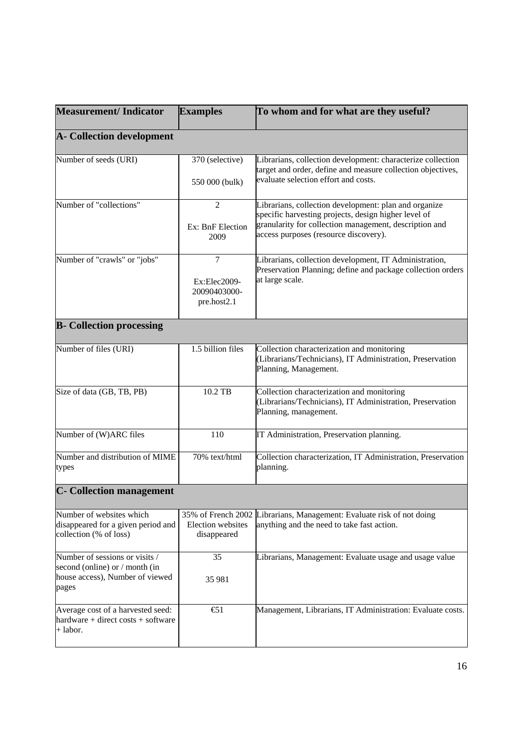| <b>Measurement/Indicator</b>                                                             | <b>Examples</b>                             | To whom and for what are they useful?                                                                                                                                   |
|------------------------------------------------------------------------------------------|---------------------------------------------|-------------------------------------------------------------------------------------------------------------------------------------------------------------------------|
| <b>A</b> - Collection development                                                        |                                             |                                                                                                                                                                         |
| Number of seeds (URI)                                                                    | 370 (selective)                             | Librarians, collection development: characterize collection<br>target and order, define and measure collection objectives,<br>evaluate selection effort and costs.      |
|                                                                                          | 550 000 (bulk)                              |                                                                                                                                                                         |
| Number of "collections"                                                                  | $\overline{2}$                              | Librarians, collection development: plan and organize<br>specific harvesting projects, design higher level of<br>granularity for collection management, description and |
|                                                                                          | Ex: BnF Election<br>2009                    | access purposes (resource discovery).                                                                                                                                   |
| Number of "crawls" or "jobs"                                                             | $\tau$                                      | Librarians, collection development, IT Administration,<br>Preservation Planning; define and package collection orders                                                   |
|                                                                                          | Ex:Elec2009-<br>20090403000-<br>pre.host2.1 | at large scale.                                                                                                                                                         |
| <b>B-</b> Collection processing                                                          |                                             |                                                                                                                                                                         |
| Number of files (URI)                                                                    | 1.5 billion files                           | Collection characterization and monitoring<br>(Librarians/Technicians), IT Administration, Preservation<br>Planning, Management.                                        |
| Size of data (GB, TB, PB)                                                                | 10.2 TB                                     | Collection characterization and monitoring<br>(Librarians/Technicians), IT Administration, Preservation<br>Planning, management.                                        |
| Number of (W)ARC files                                                                   | 110                                         | IT Administration, Preservation planning.                                                                                                                               |
| Number and distribution of MIME<br>types                                                 | 70% text/html                               | Collection characterization, IT Administration, Preservation<br>planning.                                                                                               |
| <b>C</b> - Collection management                                                         |                                             |                                                                                                                                                                         |
| Number of websites which<br>disappeared for a given period and<br>collection (% of loss) | Election websites<br>disappeared            | 35% of French 2002 Librarians, Management: Evaluate risk of not doing<br>anything and the need to take fast action.                                                     |
| Number of sessions or visits /<br>second (online) or / month (in                         | 35                                          | Librarians, Management: Evaluate usage and usage value                                                                                                                  |
| house access), Number of viewed<br>pages                                                 | 35 981                                      |                                                                                                                                                                         |
| Average cost of a harvested seed:<br>$h$ ardware + direct costs + software<br>+ labor.   | $\bigoplus$ 1                               | Management, Librarians, IT Administration: Evaluate costs.                                                                                                              |